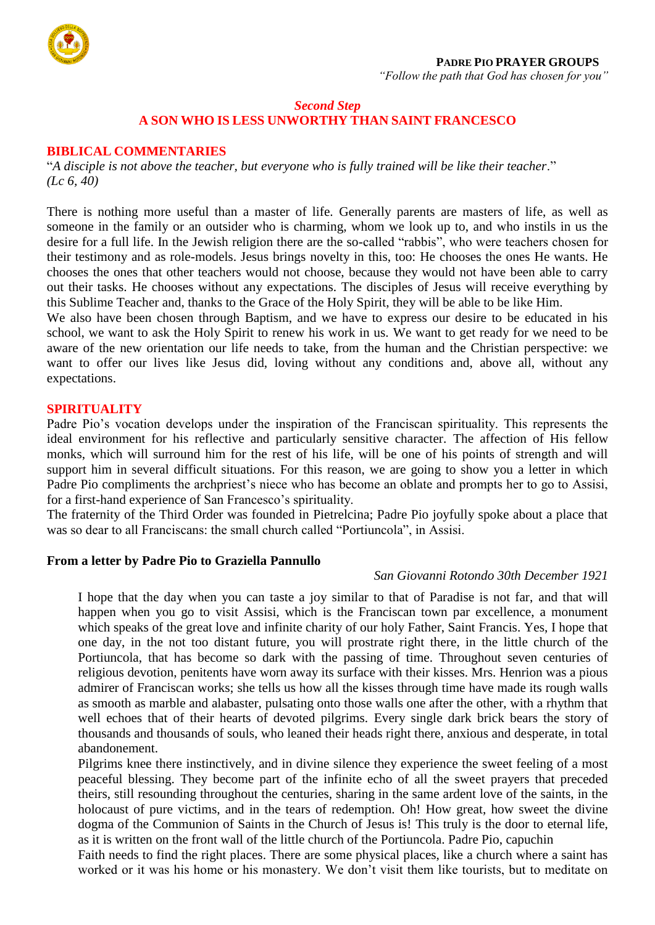

### **PADRE PIO PRAYER GROUPS**

*"Follow the path that God has chosen for you"*

## *Second Step* **A SON WHO IS LESS UNWORTHY THAN SAINT FRANCESCO**

#### **BIBLICAL COMMENTARIES**

"*A disciple is not above the teacher, but everyone who is fully trained will be like their teacher*." *(Lc 6, 40)*

There is nothing more useful than a master of life. Generally parents are masters of life, as well as someone in the family or an outsider who is charming, whom we look up to, and who instils in us the desire for a full life. In the Jewish religion there are the so-called "rabbis", who were teachers chosen for their testimony and as role-models. Jesus brings novelty in this, too: He chooses the ones He wants. He chooses the ones that other teachers would not choose, because they would not have been able to carry out their tasks. He chooses without any expectations. The disciples of Jesus will receive everything by this Sublime Teacher and, thanks to the Grace of the Holy Spirit, they will be able to be like Him.

We also have been chosen through Baptism, and we have to express our desire to be educated in his school, we want to ask the Holy Spirit to renew his work in us. We want to get ready for we need to be aware of the new orientation our life needs to take, from the human and the Christian perspective: we want to offer our lives like Jesus did, loving without any conditions and, above all, without any expectations.

### **SPIRITUALITY**

Padre Pio's vocation develops under the inspiration of the Franciscan spirituality. This represents the ideal environment for his reflective and particularly sensitive character. The affection of His fellow monks, which will surround him for the rest of his life, will be one of his points of strength and will support him in several difficult situations. For this reason, we are going to show you a letter in which Padre Pio compliments the archpriest's niece who has become an oblate and prompts her to go to Assisi, for a first-hand experience of San Francesco's spirituality.

The fraternity of the Third Order was founded in Pietrelcina; Padre Pio joyfully spoke about a place that was so dear to all Franciscans: the small church called "Portiuncola", in Assisi.

### **From a letter by Padre Pio to Graziella Pannullo**

## *San Giovanni Rotondo 30th December 1921*

I hope that the day when you can taste a joy similar to that of Paradise is not far, and that will happen when you go to visit Assisi, which is the Franciscan town par excellence, a monument which speaks of the great love and infinite charity of our holy Father, Saint Francis. Yes, I hope that one day, in the not too distant future, you will prostrate right there, in the little church of the Portiuncola, that has become so dark with the passing of time. Throughout seven centuries of religious devotion, penitents have worn away its surface with their kisses. Mrs. Henrion was a pious admirer of Franciscan works; she tells us how all the kisses through time have made its rough walls as smooth as marble and alabaster, pulsating onto those walls one after the other, with a rhythm that well echoes that of their hearts of devoted pilgrims. Every single dark brick bears the story of thousands and thousands of souls, who leaned their heads right there, anxious and desperate, in total abandonement.

Pilgrims knee there instinctively, and in divine silence they experience the sweet feeling of a most peaceful blessing. They become part of the infinite echo of all the sweet prayers that preceded theirs, still resounding throughout the centuries, sharing in the same ardent love of the saints, in the holocaust of pure victims, and in the tears of redemption. Oh! How great, how sweet the divine dogma of the Communion of Saints in the Church of Jesus is! This truly is the door to eternal life, as it is written on the front wall of the little church of the Portiuncola. Padre Pio, capuchin

Faith needs to find the right places. There are some physical places, like a church where a saint has worked or it was his home or his monastery. We don't visit them like tourists, but to meditate on